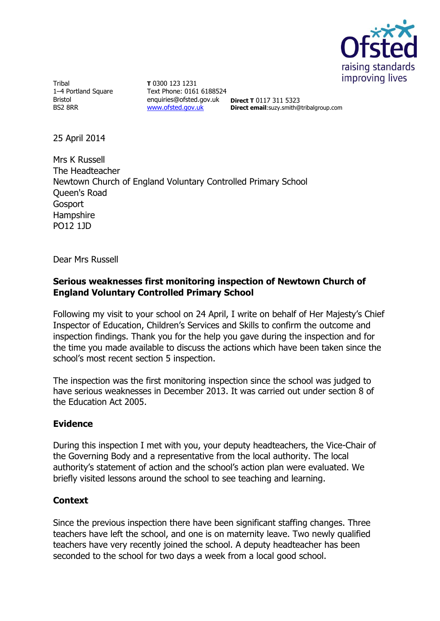

Tribal 1–4 Portland Square Bristol BS2 8RR

**T** 0300 123 1231 Text Phone: 0161 6188524 enquiries@ofsted.gov.uk **Direct T** 0117 311 5323 [www.ofsted.gov.uk](http://www.ofsted.gov.uk/) **Direct email**:suzy.smith@tribalgroup.com

25 April 2014

Mrs K Russell The Headteacher Newtown Church of England Voluntary Controlled Primary School Queen's Road Gosport **Hampshire** PO12 1JD

Dear Mrs Russell

## **Serious weaknesses first monitoring inspection of Newtown Church of England Voluntary Controlled Primary School**

Following my visit to your school on 24 April, I write on behalf of Her Majesty's Chief Inspector of Education, Children's Services and Skills to confirm the outcome and inspection findings. Thank you for the help you gave during the inspection and for the time you made available to discuss the actions which have been taken since the school's most recent section 5 inspection.

The inspection was the first monitoring inspection since the school was judged to have serious weaknesses in December 2013. It was carried out under section 8 of the Education Act 2005.

## **Evidence**

During this inspection I met with you, your deputy headteachers, the Vice-Chair of the Governing Body and a representative from the local authority. The local authority's statement of action and the school's action plan were evaluated. We briefly visited lessons around the school to see teaching and learning.

## **Context**

Since the previous inspection there have been significant staffing changes. Three teachers have left the school, and one is on maternity leave. Two newly qualified teachers have very recently joined the school. A deputy headteacher has been seconded to the school for two days a week from a local good school.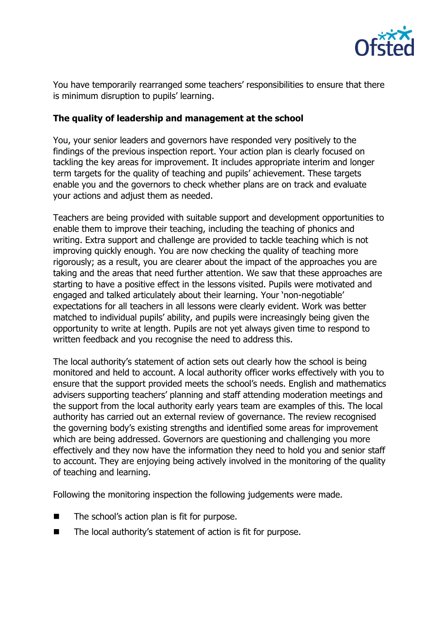

You have temporarily rearranged some teachers' responsibilities to ensure that there is minimum disruption to pupils' learning.

## **The quality of leadership and management at the school**

You, your senior leaders and governors have responded very positively to the findings of the previous inspection report. Your action plan is clearly focused on tackling the key areas for improvement. It includes appropriate interim and longer term targets for the quality of teaching and pupils' achievement. These targets enable you and the governors to check whether plans are on track and evaluate your actions and adjust them as needed.

Teachers are being provided with suitable support and development opportunities to enable them to improve their teaching, including the teaching of phonics and writing. Extra support and challenge are provided to tackle teaching which is not improving quickly enough. You are now checking the quality of teaching more rigorously; as a result, you are clearer about the impact of the approaches you are taking and the areas that need further attention. We saw that these approaches are starting to have a positive effect in the lessons visited. Pupils were motivated and engaged and talked articulately about their learning. Your 'non-negotiable' expectations for all teachers in all lessons were clearly evident. Work was better matched to individual pupils' ability, and pupils were increasingly being given the opportunity to write at length. Pupils are not yet always given time to respond to written feedback and you recognise the need to address this.

The local authority's statement of action sets out clearly how the school is being monitored and held to account. A local authority officer works effectively with you to ensure that the support provided meets the school's needs. English and mathematics advisers supporting teachers' planning and staff attending moderation meetings and the support from the local authority early years team are examples of this. The local authority has carried out an external review of governance. The review recognised the governing body's existing strengths and identified some areas for improvement which are being addressed. Governors are questioning and challenging you more effectively and they now have the information they need to hold you and senior staff to account. They are enjoying being actively involved in the monitoring of the quality of teaching and learning.

Following the monitoring inspection the following judgements were made.

- The school's action plan is fit for purpose.
- The local authority's statement of action is fit for purpose.